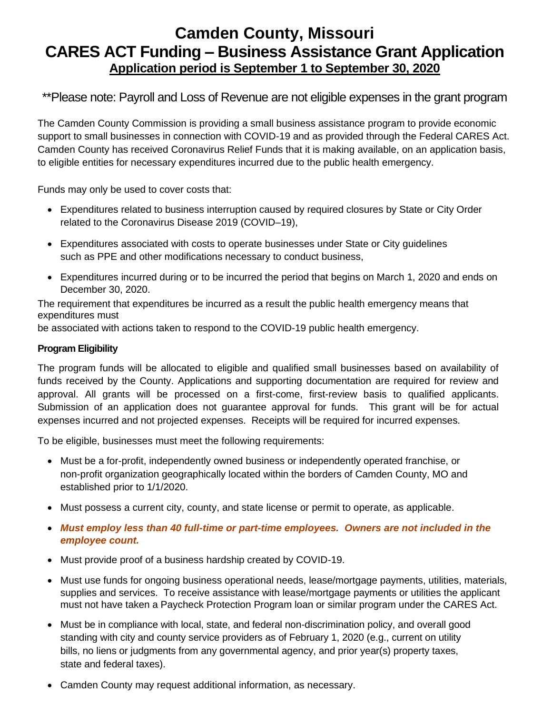# **Camden County, Missouri CARES ACT Funding – Business Assistance Grant Application Application period is September 1 to September 30, 2020**

\*\*Please note: Payroll and Loss of Revenue are not eligible expenses in the grant program

The Camden County Commission is providing a small business assistance program to provide economic support to small businesses in connection with COVID-19 and as provided through the Federal CARES Act. Camden County has received Coronavirus Relief Funds that it is making available, on an application basis, to eligible entities for necessary expenditures incurred due to the public health emergency.

Funds may only be used to cover costs that:

- Expenditures related to business interruption caused by required closures by State or City Order related to the Coronavirus Disease 2019 (COVID–19),
- Expenditures associated with costs to operate businesses under State or City guidelines such as PPE and other modifications necessary to conduct business,
- Expenditures incurred during or to be incurred the period that begins on March 1, 2020 and ends on December 30, 2020.

The requirement that expenditures be incurred as a result the public health emergency means that expenditures must

be associated with actions taken to respond to the COVID-19 public health emergency.

#### **Program Eligibility**

The program funds will be allocated to eligible and qualified small businesses based on availability of funds received by the County. Applications and supporting documentation are required for review and approval. All grants will be processed on a first-come, first-review basis to qualified applicants. Submission of an application does not guarantee approval for funds. This grant will be for actual expenses incurred and not projected expenses. Receipts will be required for incurred expenses.

To be eligible, businesses must meet the following requirements:

- Must be a for-profit, independently owned business or independently operated franchise, or non-profit organization geographically located within the borders of Camden County, MO and established prior to 1/1/2020.
- Must possess a current city, county, and state license or permit to operate, as applicable.
- *Must employ less than 40 full-time or part-time employees. Owners are not included in the employee count.*
- Must provide proof of a business hardship created by COVID-19.
- Must use funds for ongoing business operational needs, lease/mortgage payments, utilities, materials, supplies and services. To receive assistance with lease/mortgage payments or utilities the applicant must not have taken a Paycheck Protection Program loan or similar program under the CARES Act.
- Must be in compliance with local, state, and federal non-discrimination policy, and overall good standing with city and county service providers as of February 1, 2020 (e.g., current on utility bills, no liens or judgments from any governmental agency, and prior year(s) property taxes, state and federal taxes).
- Camden County may request additional information, as necessary.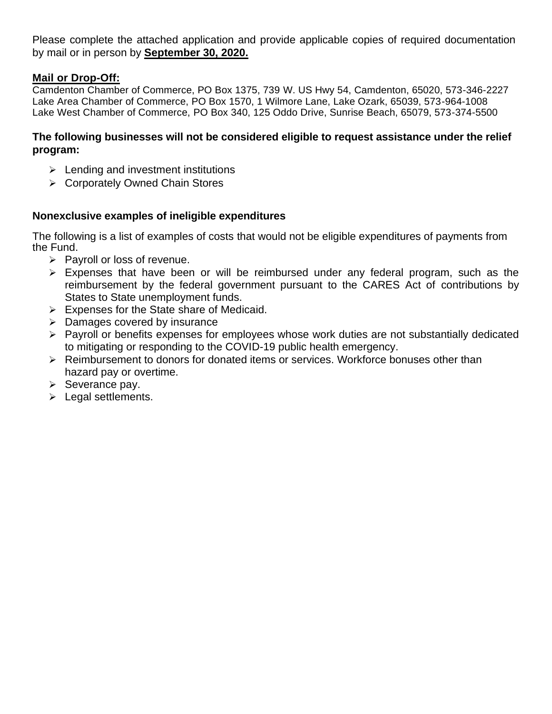Please complete the attached application and provide applicable copies of required documentation by mail or in person by **September 30, 2020.**

## **Mail or Drop-Off:**

Camdenton Chamber of Commerce, PO Box 1375, 739 W. US Hwy 54, Camdenton, 65020, 573-346-2227 Lake Area Chamber of Commerce, PO Box 1570, 1 Wilmore Lane, Lake Ozark, 65039, 573-964-1008 Lake West Chamber of Commerce, PO Box 340, 125 Oddo Drive, Sunrise Beach, 65079, 573-374-5500

### **The following businesses will not be considered eligible to request assistance under the relief program:**

- $\triangleright$  Lending and investment institutions
- ➢ Corporately Owned Chain Stores

### **Nonexclusive examples of ineligible expenditures**

The following is a list of examples of costs that would not be eligible expenditures of payments from the Fund.

- ➢ Payroll or loss of revenue.
- ➢ Expenses that have been or will be reimbursed under any federal program, such as the reimbursement by the federal government pursuant to the CARES Act of contributions by States to State unemployment funds.
- $\triangleright$  Expenses for the State share of Medicaid.
- ➢ Damages covered by insurance
- ➢ Payroll or benefits expenses for employees whose work duties are not substantially dedicated to mitigating or responding to the COVID-19 public health emergency.
- $\triangleright$  Reimbursement to donors for donated items or services. Workforce bonuses other than hazard pay or overtime.
- $\triangleright$  Severance pay.
- ➢ Legal settlements.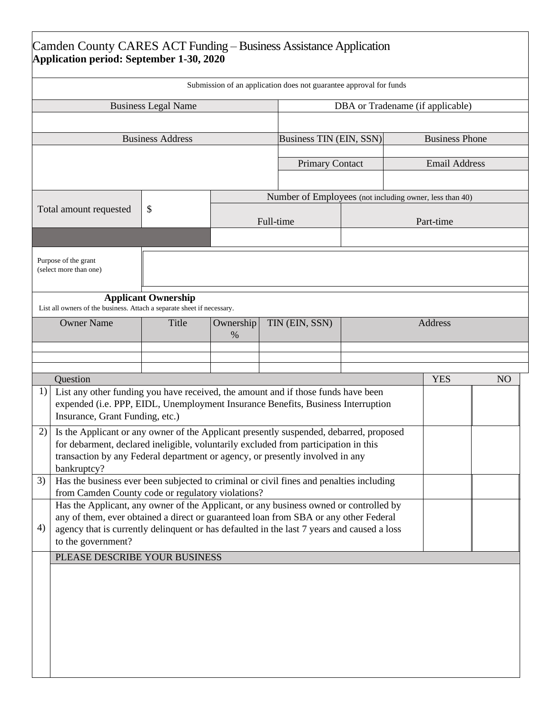| Submission of an application does not guarantee approval for funds<br>DBA or Tradename (if applicable)<br><b>Business Legal Name</b><br><b>Business Phone</b><br><b>Business Address</b><br>Business TIN (EIN, SSN)<br><b>Email Address</b><br><b>Primary Contact</b><br>Number of Employees (not including owner, less than 40)<br>\$<br>Total amount requested<br>Full-time<br>Part-time<br>Purpose of the grant<br>(select more than one)<br><b>Applicant Ownership</b><br>List all owners of the business. Attach a separate sheet if necessary.<br><b>Owner Name</b><br>TIN (EIN, SSN)<br>Address<br>Title<br>Ownership<br>%<br>Question<br><b>YES</b><br>1)<br>List any other funding you have received, the amount and if those funds have been<br>expended (i.e. PPP, EIDL, Unemployment Insurance Benefits, Business Interruption<br>Insurance, Grant Funding, etc.)<br>2)<br>Is the Applicant or any owner of the Applicant presently suspended, debarred, proposed<br>for debarment, declared ineligible, voluntarily excluded from participation in this<br>transaction by any Federal department or agency, or presently involved in any<br>bankruptcy?<br>Has the business ever been subjected to criminal or civil fines and penalties including<br>3)<br>from Camden County code or regulatory violations? | Camden County CARES ACT Funding - Business Assistance Application<br>Application period: September 1-30, 2020 |  |  |  |  |  |    |  |
|----------------------------------------------------------------------------------------------------------------------------------------------------------------------------------------------------------------------------------------------------------------------------------------------------------------------------------------------------------------------------------------------------------------------------------------------------------------------------------------------------------------------------------------------------------------------------------------------------------------------------------------------------------------------------------------------------------------------------------------------------------------------------------------------------------------------------------------------------------------------------------------------------------------------------------------------------------------------------------------------------------------------------------------------------------------------------------------------------------------------------------------------------------------------------------------------------------------------------------------------------------------------------------------------------------------------------|---------------------------------------------------------------------------------------------------------------|--|--|--|--|--|----|--|
|                                                                                                                                                                                                                                                                                                                                                                                                                                                                                                                                                                                                                                                                                                                                                                                                                                                                                                                                                                                                                                                                                                                                                                                                                                                                                                                            |                                                                                                               |  |  |  |  |  |    |  |
|                                                                                                                                                                                                                                                                                                                                                                                                                                                                                                                                                                                                                                                                                                                                                                                                                                                                                                                                                                                                                                                                                                                                                                                                                                                                                                                            |                                                                                                               |  |  |  |  |  |    |  |
|                                                                                                                                                                                                                                                                                                                                                                                                                                                                                                                                                                                                                                                                                                                                                                                                                                                                                                                                                                                                                                                                                                                                                                                                                                                                                                                            |                                                                                                               |  |  |  |  |  |    |  |
|                                                                                                                                                                                                                                                                                                                                                                                                                                                                                                                                                                                                                                                                                                                                                                                                                                                                                                                                                                                                                                                                                                                                                                                                                                                                                                                            |                                                                                                               |  |  |  |  |  |    |  |
|                                                                                                                                                                                                                                                                                                                                                                                                                                                                                                                                                                                                                                                                                                                                                                                                                                                                                                                                                                                                                                                                                                                                                                                                                                                                                                                            |                                                                                                               |  |  |  |  |  |    |  |
|                                                                                                                                                                                                                                                                                                                                                                                                                                                                                                                                                                                                                                                                                                                                                                                                                                                                                                                                                                                                                                                                                                                                                                                                                                                                                                                            |                                                                                                               |  |  |  |  |  |    |  |
|                                                                                                                                                                                                                                                                                                                                                                                                                                                                                                                                                                                                                                                                                                                                                                                                                                                                                                                                                                                                                                                                                                                                                                                                                                                                                                                            |                                                                                                               |  |  |  |  |  |    |  |
|                                                                                                                                                                                                                                                                                                                                                                                                                                                                                                                                                                                                                                                                                                                                                                                                                                                                                                                                                                                                                                                                                                                                                                                                                                                                                                                            |                                                                                                               |  |  |  |  |  |    |  |
|                                                                                                                                                                                                                                                                                                                                                                                                                                                                                                                                                                                                                                                                                                                                                                                                                                                                                                                                                                                                                                                                                                                                                                                                                                                                                                                            |                                                                                                               |  |  |  |  |  |    |  |
|                                                                                                                                                                                                                                                                                                                                                                                                                                                                                                                                                                                                                                                                                                                                                                                                                                                                                                                                                                                                                                                                                                                                                                                                                                                                                                                            |                                                                                                               |  |  |  |  |  |    |  |
|                                                                                                                                                                                                                                                                                                                                                                                                                                                                                                                                                                                                                                                                                                                                                                                                                                                                                                                                                                                                                                                                                                                                                                                                                                                                                                                            |                                                                                                               |  |  |  |  |  |    |  |
|                                                                                                                                                                                                                                                                                                                                                                                                                                                                                                                                                                                                                                                                                                                                                                                                                                                                                                                                                                                                                                                                                                                                                                                                                                                                                                                            |                                                                                                               |  |  |  |  |  | NO |  |
|                                                                                                                                                                                                                                                                                                                                                                                                                                                                                                                                                                                                                                                                                                                                                                                                                                                                                                                                                                                                                                                                                                                                                                                                                                                                                                                            |                                                                                                               |  |  |  |  |  |    |  |
|                                                                                                                                                                                                                                                                                                                                                                                                                                                                                                                                                                                                                                                                                                                                                                                                                                                                                                                                                                                                                                                                                                                                                                                                                                                                                                                            |                                                                                                               |  |  |  |  |  |    |  |
|                                                                                                                                                                                                                                                                                                                                                                                                                                                                                                                                                                                                                                                                                                                                                                                                                                                                                                                                                                                                                                                                                                                                                                                                                                                                                                                            |                                                                                                               |  |  |  |  |  |    |  |
| Has the Applicant, any owner of the Applicant, or any business owned or controlled by<br>any of them, ever obtained a direct or guaranteed loan from SBA or any other Federal<br>4)<br>agency that is currently delinquent or has defaulted in the last 7 years and caused a loss<br>to the government?                                                                                                                                                                                                                                                                                                                                                                                                                                                                                                                                                                                                                                                                                                                                                                                                                                                                                                                                                                                                                    |                                                                                                               |  |  |  |  |  |    |  |
| PLEASE DESCRIBE YOUR BUSINESS                                                                                                                                                                                                                                                                                                                                                                                                                                                                                                                                                                                                                                                                                                                                                                                                                                                                                                                                                                                                                                                                                                                                                                                                                                                                                              |                                                                                                               |  |  |  |  |  |    |  |